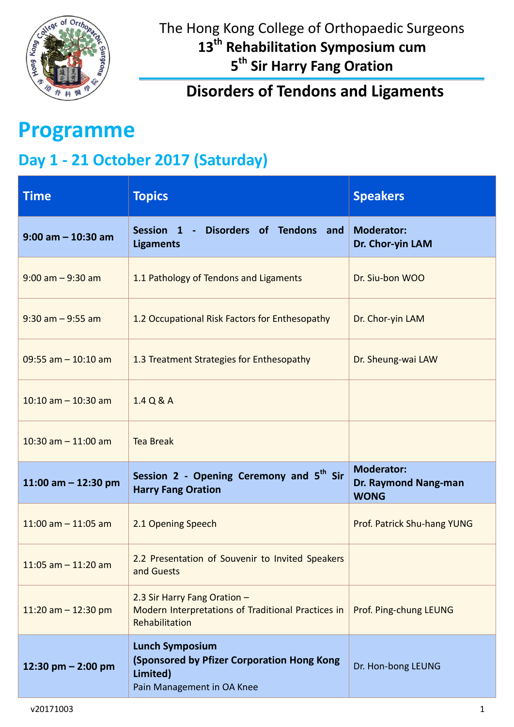

### **Disorders of Tendons and Ligaments**

# **Programme**

## **Day 1 - 21 October 2017 (Saturday)**

| <b>Time</b>             | <b>Topics</b>                                                                                                  | <b>Speakers</b>                                          |
|-------------------------|----------------------------------------------------------------------------------------------------------------|----------------------------------------------------------|
| $9:00$ am $-10:30$ am   | Disorders of Tendons and<br>Session 1<br><b>Ligaments</b>                                                      | <b>Moderator:</b><br>Dr. Chor-yin LAM                    |
| $9:00$ am $-9:30$ am    | 1.1 Pathology of Tendons and Ligaments                                                                         | Dr. Siu-bon WOO                                          |
| $9:30$ am $-9:55$ am    | 1.2 Occupational Risk Factors for Enthesopathy                                                                 | Dr. Chor-yin LAM                                         |
| $09:55$ am $-10:10$ am  | 1.3 Treatment Strategies for Enthesopathy                                                                      | Dr. Sheung-wai LAW                                       |
| $10:10$ am $- 10:30$ am | 1.4 Q & A                                                                                                      |                                                          |
| 10:30 am $-$ 11:00 am   | <b>Tea Break</b>                                                                                               |                                                          |
| 11:00 am $-$ 12:30 pm   | Session 2 - Opening Ceremony and 5 <sup>th</sup> Sir<br><b>Harry Fang Oration</b>                              | <b>Moderator:</b><br>Dr. Raymond Nang-man<br><b>WONG</b> |
| $11:00$ am $-11:05$ am  | 2.1 Opening Speech                                                                                             | Prof. Patrick Shu-hang YUNG                              |
| $11:05$ am $- 11:20$ am | 2.2 Presentation of Souvenir to Invited Speakers<br>and Guests                                                 |                                                          |
| 11:20 am $-$ 12:30 pm   | 2.3 Sir Harry Fang Oration -<br>Modern Interpretations of Traditional Practices in<br>Rehabilitation           | Prof. Ping-chung LEUNG                                   |
| 12:30 pm $-$ 2:00 pm    | <b>Lunch Symposium</b><br>(Sponsored by Pfizer Corporation Hong Kong<br>Limited)<br>Pain Management in OA Knee | Dr. Hon-bong LEUNG                                       |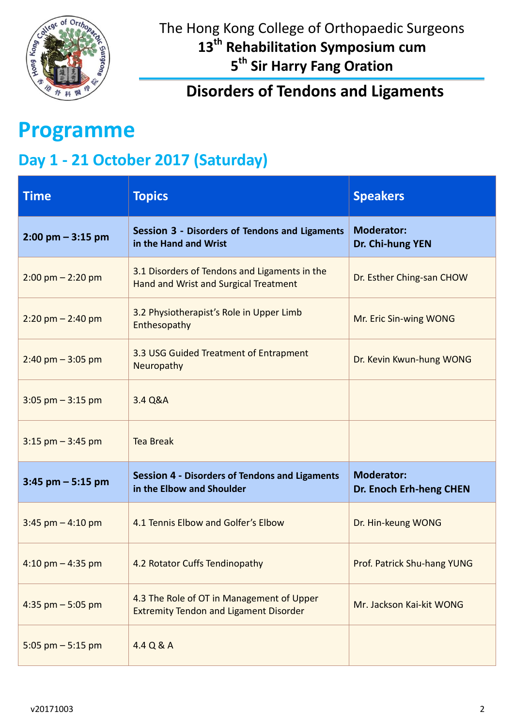

**Disorders of Tendons and Ligaments**

# **Programme**

## **Day 1 - 21 October 2017 (Saturday)**

| <b>Time</b>                         | <b>Topics</b>                                                                              | <b>Speakers</b>                              |
|-------------------------------------|--------------------------------------------------------------------------------------------|----------------------------------------------|
| $2:00 \text{ pm} - 3:15 \text{ pm}$ | Session 3 - Disorders of Tendons and Ligaments<br>in the Hand and Wrist                    | <b>Moderator:</b><br>Dr. Chi-hung YEN        |
| $2:00 \text{ pm} - 2:20 \text{ pm}$ | 3.1 Disorders of Tendons and Ligaments in the<br>Hand and Wrist and Surgical Treatment     | Dr. Esther Ching-san CHOW                    |
| $2:20$ pm $- 2:40$ pm               | 3.2 Physiotherapist's Role in Upper Limb<br>Enthesopathy                                   | Mr. Eric Sin-wing WONG                       |
| $2:40$ pm $-3:05$ pm                | 3.3 USG Guided Treatment of Entrapment<br>Neuropathy                                       | Dr. Kevin Kwun-hung WONG                     |
| $3:05$ pm $-3:15$ pm                | 3.4 Q&A                                                                                    |                                              |
| $3:15$ pm $-3:45$ pm                | <b>Tea Break</b>                                                                           |                                              |
| $3:45$ pm $-5:15$ pm                | <b>Session 4 - Disorders of Tendons and Ligaments</b><br>in the Elbow and Shoulder         | <b>Moderator:</b><br>Dr. Enoch Erh-heng CHEN |
| $3:45$ pm $-4:10$ pm                | 4.1 Tennis Elbow and Golfer's Elbow                                                        | Dr. Hin-keung WONG                           |
| $4:10$ pm $-4:35$ pm                | 4.2 Rotator Cuffs Tendinopathy                                                             | Prof. Patrick Shu-hang YUNG                  |
| 4:35 pm $-$ 5:05 pm                 | 4.3 The Role of OT in Management of Upper<br><b>Extremity Tendon and Ligament Disorder</b> | Mr. Jackson Kai-kit WONG                     |
| 5:05 pm $-$ 5:15 pm                 | 4.4 Q & A                                                                                  |                                              |